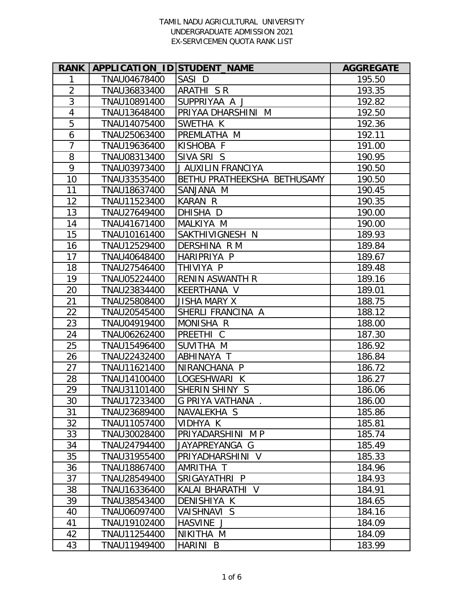| <b>RANK</b>    | APPLICATION ID STUDENT NAME |                             | <b>AGGREGATE</b> |
|----------------|-----------------------------|-----------------------------|------------------|
| 1              | TNAU04678400                | SASI D                      | 195.50           |
| $\overline{2}$ | TNAU36833400                | ARATHI S R                  | 193.35           |
| 3              | TNAU10891400                | SUPPRIYAA A J               | 192.82           |
| $\overline{4}$ | TNAU13648400                | PRIYAA DHARSHINI M          | 192.50           |
| 5              | TNAU14075400                | SWETHA K                    | 192.36           |
| 6              | TNAU25063400                | PREMLATHA M                 | 192.11           |
| $\overline{7}$ | TNAU19636400                | KISHOBA F                   | 191.00           |
| 8              | TNAU08313400                | SIVA SRIS                   | 190.95           |
| 9              | TNAU03973400                | J AUXILIN FRANCIYA          | 190.50           |
| 10             | TNAU33535400                | BETHU PRATHEEKSHA BETHUSAMY | 190.50           |
| 11             | TNAU18637400                | SANJANA M                   | 190.45           |
| 12             | TNAU11523400                | KARAN R                     | 190.35           |
| 13             | TNAU27649400                | DHISHA D                    | 190.00           |
| 14             | TNAU41671400                | MALKIYA M                   | 190.00           |
| 15             | TNAU10161400                | SAKTHIVIGNESH N             | 189.93           |
| 16             | TNAU12529400                | DERSHINA R M                | 189.84           |
| 17             | TNAU40648400                | HARIPRIYA P                 | 189.67           |
| 18             | TNAU27546400                | THIVIYA P                   | 189.48           |
| 19             | TNAU05224400                | <b>RENIN ASWANTH R</b>      | 189.16           |
| 20             | TNAU23834400                | KEERTHANA V                 | 189.01           |
| 21             | TNAU25808400                | <b>JISHA MARY X</b>         | 188.75           |
| 22             | TNAU20545400                | SHERLI FRANCINA A           | 188.12           |
| 23             | TNAU04919400                | MONISHA R                   | 188.00           |
| 24             | TNAU06262400                | PREETHI C                   | 187.30           |
| 25             | TNAU15496400                | SUVITHA M                   | 186.92           |
| 26             | TNAU22432400                | ABHINAYA T                  | 186.84           |
| 27             | TNAU11621400                | NIRANCHANA P                | 186.72           |
| 28             | TNAU14100400                | LOGESHWARI K                | 186.27           |
| 29             | TNAU31101400                | SHERIN SHINY S              | 186.06           |
| 30             | TNAU17233400                | G PRIYA VATHANA             | 186.00           |
| 31             | TNAU23689400                | NAVALEKHA S                 | 185.86           |
| 32             | TNAU11057400                | VIDHYA K                    | 185.81           |
| 33             | TNAU30028400                | PRIYADARSHINI MP            | 185.74           |
| 34             | TNAU24794400                | JAYAPREYANGA G              | 185.49           |
| 35             | TNAU31955400                | PRIYADHARSHINI V            | 185.33           |
| 36             | TNAU18867400                | AMRITHA T                   | 184.96           |
| 37             | TNAU28549400                | SRIGAYATHRI P               | 184.93           |
| 38             | TNAU16336400                | KALAI BHARATHI V            | 184.91           |
| 39             | TNAU38543400                | DENISHIYA K                 | 184.65           |
| 40             | TNAU06097400                | VAISHNAVI S                 | 184.16           |
| 41             | TNAU19102400                | HASVINE J                   | 184.09           |
| 42             | TNAU11254400                | NIKITHA M                   | 184.09           |
| 43             | TNAU11949400                | HARINI B                    | 183.99           |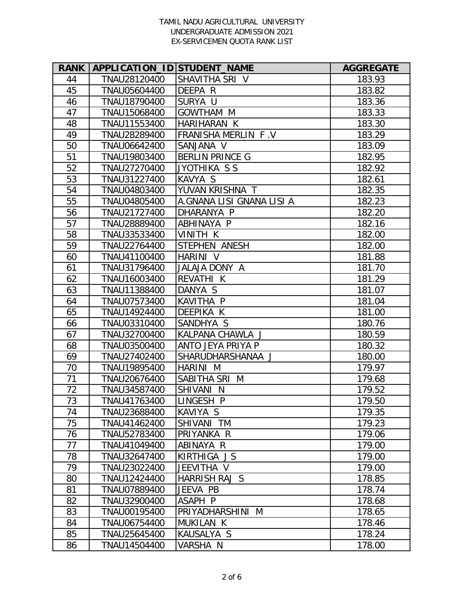| <b>RANK</b> | APPLICATION_ID STUDENT_NAME |                           | <b>AGGREGATE</b> |
|-------------|-----------------------------|---------------------------|------------------|
| 44          | TNAU28120400                | SHAVITHA SRI V            | 183.93           |
| 45          | TNAU05604400                | DEEPA R                   | 183.82           |
| 46          | TNAU18790400                | SURYA U                   | 183.36           |
| 47          | TNAU15068400                | <b>GOWTHAM M</b>          | 183.33           |
| 48          | TNAU11553400                | HARIHARAN K               | 183.30           |
| 49          | TNAU28289400                | FRANISHA MERLIN F.V       | 183.29           |
| 50          | TNAU06642400                | SANJANA V                 | 183.09           |
| 51          | TNAU19803400                | <b>BERLIN PRINCE G</b>    | 182.95           |
| 52          | TNAU27270400                | JYOTHIKA S S              | 182.92           |
| 53          | TNAU31227400                | KAVYA S                   | 182.61           |
| 54          | TNAU04803400                | YUVAN KRISHNA T           | 182.35           |
| 55          | TNAU04805400                | A.GNANA LISI GNANA LISI A | 182.23           |
| 56          | TNAU21727400                | DHARANYA P                | 182.20           |
| 57          | TNAU28889400                | ABHINAYA P                | 182.16           |
| 58          | TNAU33533400                | <b>VINITH K</b>           | 182.00           |
| 59          | TNAU22764400                | STEPHEN ANESH             | 182.00           |
| 60          | TNAU41100400                | HARINI V                  | 181.88           |
| 61          | TNAU31796400                | JALAJA DONY A             | 181.70           |
| 62          | TNAU16003400                | REVATHI K                 | 181.29           |
| 63          | TNAU11388400                | DANYA S                   | 181.07           |
| 64          | TNAU07573400                | KAVITHA P                 | 181.04           |
| 65          | TNAU14924400                | DEEPIKA K                 | 181.00           |
| 66          | TNAU03310400                | SANDHYA S                 | 180.76           |
| 67          | TNAU32700400                | KALPANA CHAWLA J          | 180.59           |
| 68          | TNAU03500400                | ANTO JEYA PRIYA P         | 180.32           |
| 69          | TNAU27402400                | SHARUDHARSHANAA J         | 180.00           |
| 70          | TNAU19895400                | HARINI M                  | 179.97           |
| 71          | TNAU20676400                | SABITHA SRI M             | 179.68           |
| 72          | TNAU34587400                | SHIVANI N                 | 179.52           |
| 73          | TNAU41763400                | LINGESH P                 | 179.50           |
| 74          | TNAU23688400                | KAVIYA S                  | 179.35           |
| 75          | TNAU41462400                | SHIVANI TM                | 179.23           |
| 76          | TNAU52783400                | PRIYANKA R                | 179.06           |
| 77          | TNAU41049400                | ABINAYA R                 | 179.00           |
| 78          | TNAU32647400                | KIRTHIGA JS               | 179.00           |
| 79          | TNAU23022400                | JEEVITHA V                | 179.00           |
| 80          | TNAU12424400                | HARRISH RAJ S             | 178.85           |
| 81          | TNAU07889400                | JEEVA PB                  | 178.74           |
| 82          | TNAU32900400                | ASAPH P                   | 178.68           |
| 83          | TNAU00195400                | PRIYADHARSHINI M          | 178.65           |
| 84          | TNAU06754400                | MUKILAN K                 | 178.46           |
| 85          | TNAU25645400                | KAUSALYA S                | 178.24           |
| 86          | TNAU14504400                | VARSHA N                  | 178.00           |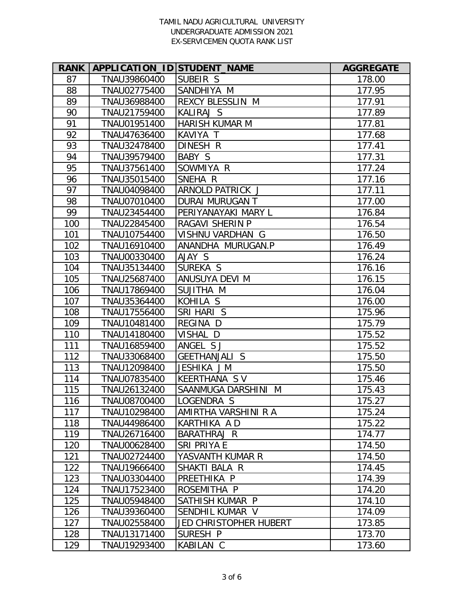| <b>RANK</b> | APPLICATION_ID STUDENT_NAME |                               | <b>AGGREGATE</b> |
|-------------|-----------------------------|-------------------------------|------------------|
| 87          | TNAU39860400                | SUBEIR S                      | 178.00           |
| 88          | TNAU02775400                | SANDHIYA M                    | 177.95           |
| 89          | TNAU36988400                | REXCY BLESSLIN M              | 177.91           |
| 90          | TNAU21759400                | KALIRAJ S                     | 177.89           |
| 91          | TNAU01951400                | <b>HARISH KUMAR M</b>         | 177.81           |
| 92          | TNAU47636400                | KAVIYA T                      | 177.68           |
| 93          | TNAU32478400                | DINESH R                      | 177.41           |
| 94          | TNAU39579400                | BABY S                        | 177.31           |
| 95          | TNAU37561400                | SOWMIYA R                     | 177.24           |
| 96          | TNAU35015400                | SNEHA R                       | 177.16           |
| 97          | TNAU04098400                | ARNOLD PATRICK J              | 177.11           |
| 98          | TNAU07010400                | DURAI MURUGAN T               | 177.00           |
| 99          | TNAU23454400                | PERIYANAYAKI MARY L           | 176.84           |
| 100         | TNAU22845400                | <b>RAGAVI SHERIN P</b>        | 176.54           |
| 101         | TNAU10754400                | VISHNU VARDHAN G              | 176.50           |
| 102         | TNAU16910400                | ANANDHA MURUGAN.P             | 176.49           |
| 103         | TNAU00330400                | AJAY S                        | 176.24           |
| 104         | TNAU35134400                | SUREKA S                      | 176.16           |
| 105         | TNAU25687400                | ANUSUYA DEVI M                | 176.15           |
| 106         | TNAU17869400                | SUJITHA M                     | 176.04           |
| 107         | TNAU35364400                | KOHILA S                      | 176.00           |
| 108         | TNAU17556400                | SRI HARI S                    | 175.96           |
| 109         | TNAU10481400                | REGINA D                      | 175.79           |
| 110         | TNAU14180400                | VISHAL D                      | 175.52           |
| 111         | TNAU16859400                | ANGEL SJ                      | 175.52           |
| 112         | TNAU33068400                | <b>GEETHANJALI S</b>          | 175.50           |
| 113         | TNAU12098400                | JESHIKA J M                   | 175.50           |
| 114         | TNAU07835400                | KEERTHANA SV                  | 175.46           |
| 115         | TNAU26132400                | SAANMUGA DARSHINI M           | 175.43           |
| 116         | TNAU08700400                | LOGENDRA S                    | 175.27           |
| 117         | TNAU10298400                | AMIRTHA VARSHINI R A          | 175.24           |
| 118         | TNAU44986400                | KARTHIKA A D                  | 175.22           |
| 119         | TNAU26716400                | BARATHRAJ R                   | 174.77           |
| 120         | TNAU00628400                | SRI PRIYA E                   | 174.50           |
| 121         | TNAU02724400                | YASVANTH KUMAR R              | 174.50           |
| 122         | TNAU19666400                | SHAKTI BALA R                 | 174.45           |
| 123         | TNAU03304400                | PREETHIKA P                   | 174.39           |
| 124         | TNAU17523400                | ROSEMITHA P                   | 174.20           |
| 125         | TNAU05948400                | SATHISH KUMAR P               | 174.10           |
| 126         | TNAU39360400                | SENDHIL KUMAR V               | 174.09           |
| 127         | TNAU02558400                | <b>JED CHRISTOPHER HUBERT</b> | 173.85           |
| 128         | TNAU13171400                | SURESH P                      | 173.70           |
| 129         | TNAU19293400                | KABILAN C                     | 173.60           |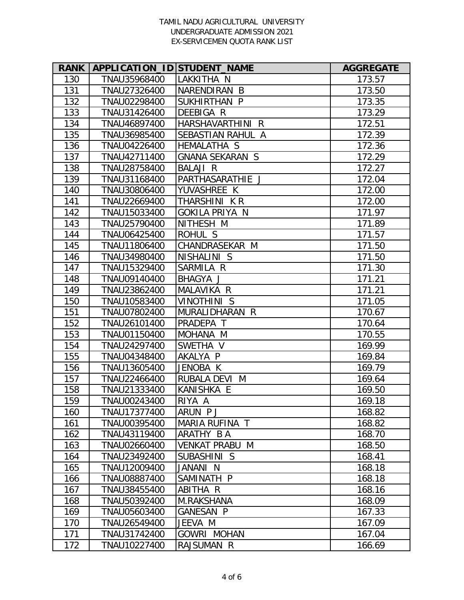| <b>RANK</b> | APPLICATION_ID STUDENT_NAME |                        | <b>AGGREGATE</b> |
|-------------|-----------------------------|------------------------|------------------|
| 130         | TNAU35968400                | LAKKITHA N             | 173.57           |
| 131         | TNAU27326400                | NARENDIRAN B           | 173.50           |
| 132         | TNAU02298400                | SUKHIRTHAN P           | 173.35           |
| 133         | TNAU31426400                | DEEBIGA R              | 173.29           |
| 134         | TNAU46897400                | HARSHAVARTHINI R       | 172.51           |
| 135         | TNAU36985400                | SEBASTIAN RAHUL A      | 172.39           |
| 136         | TNAU04226400                | <b>HEMALATHA S</b>     | 172.36           |
| 137         | TNAU42711400                | <b>GNANA SEKARAN S</b> | 172.29           |
| 138         | TNAU28758400                | <b>BALAJI R</b>        | 172.27           |
| 139         | TNAU31168400                | PARTHASARATHIE J       | 172.04           |
| 140         | TNAU30806400                | YUVASHREE K            | 172.00           |
| 141         | TNAU22669400                | THARSHINI K R          | 172.00           |
| 142         | TNAU15033400                | <b>GOKILA PRIYA N</b>  | 171.97           |
| 143         | TNAU25790400                | NITHESH M              | 171.89           |
| 144         | TNAU06425400                | ROHUL S                | 171.57           |
| 145         | TNAU11806400                | CHANDRASEKAR M         | 171.50           |
| 146         | TNAU34980400                | NISHALINI S            | 171.50           |
| 147         | TNAU15329400                | SARMILA R              | 171.30           |
| 148         | TNAU09140400                | BHAGYA J               | 171.21           |
| 149         | TNAU23862400                | MALAVIKA R             | 171.21           |
| 150         | TNAU10583400                | <b>VINOTHINI S</b>     | 171.05           |
| 151         | TNAU07802400                | MURALIDHARAN R         | 170.67           |
| 152         | TNAU26101400                | PRADEPA T              | 170.64           |
| 153         | TNAU01150400                | MOHANA M               | 170.55           |
| 154         | TNAU24297400                | SWETHA V               | 169.99           |
| 155         | TNAU04348400                | AKALYA P               | 169.84           |
| 156         | TNAU13605400                | JENOBA K               | 169.79           |
| 157         | TNAU22466400                | RUBALA DEVI M          | 169.64           |
| 158         | TNAU21333400                | KANISHKA E             | 169.50           |
| 159         | TNAU00243400                | RIYA A                 | 169.18           |
| 160         | TNAU17377400                | ARUN PJ                | 168.82           |
| 161         | TNAU00395400                | MARIA RUFINA T         | 168.82           |
| 162         | TNAU43119400                | ARATHY B A             | 168.70           |
| 163         | TNAU02660400                | VENKAT PRABU M         | 168.50           |
| 164         | TNAU23492400                | SUBASHINI S            | 168.41           |
| 165         | TNAU12009400                | JANANI N               | 168.18           |
| 166         | TNAU08887400                | SAMINATH P             | 168.18           |
| 167         | TNAU38455400                | ABITHA R               | 168.16           |
| 168         | TNAU50392400                | M.RAKSHANA             | 168.09           |
| 169         | TNAU05603400                | <b>GANESAN P</b>       | 167.33           |
| 170         | TNAU26549400                | JEEVA M                | 167.09           |
| 171         | TNAU31742400                | <b>GOWRI MOHAN</b>     | 167.04           |
| 172         | TNAU10227400                | RAJSUMAN R             | 166.69           |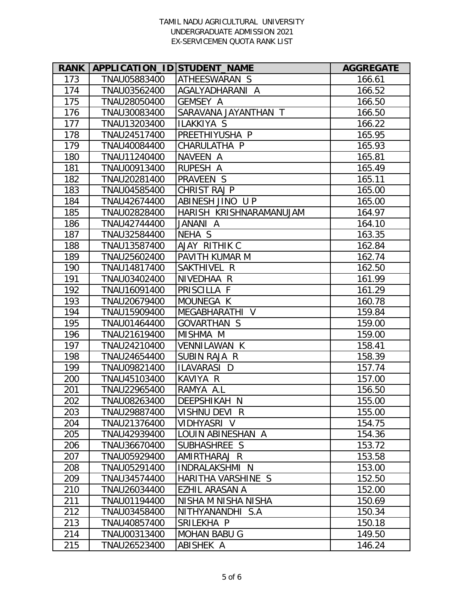| <b>RANK</b> | APPLICATION_ID STUDENT_NAME |                         | <b>AGGREGATE</b> |
|-------------|-----------------------------|-------------------------|------------------|
| 173         | TNAU05883400                | ATHEESWARAN S           | 166.61           |
| 174         | TNAU03562400                | AGALYADHARANI A         | 166.52           |
| 175         | TNAU28050400                | <b>GEMSEY A</b>         | 166.50           |
| 176         | TNAU30083400                | SARAVANA JAYANTHAN T    | 166.50           |
| 177         | TNAU13203400                | <b>ILAKKIYA S</b>       | 166.22           |
| 178         | TNAU24517400                | PREETHIYUSHA P          | 165.95           |
| 179         | TNAU40084400                | CHARULATHA P            | 165.93           |
| 180         | TNAU11240400                | NAVEEN A                | 165.81           |
| 181         | TNAU00913400                | RUPESH A                | 165.49           |
| 182         | TNAU20281400                | PRAVEEN S               | 165.11           |
| 183         | TNAU04585400                | CHRIST RAJ P            | 165.00           |
| 184         | TNAU42674400                | ABINESH JINO UP         | 165.00           |
| 185         | TNAU02828400                | HARISH KRISHNARAMANUJAM | 164.97           |
| 186         | TNAU42744400                | JANANI A                | 164.10           |
| 187         | TNAU32584400                | NEHA S                  | 163.35           |
| 188         | TNAU13587400                | AJAY RITHIK C           | 162.84           |
| 189         | TNAU25602400                | PAVITH KUMAR M          | 162.74           |
| 190         | TNAU14817400                | SAKTHIVEL R             | 162.50           |
| 191         | TNAU03402400                | NIVEDHAA R              | 161.99           |
| 192         | TNAU16091400                | PRISCILLA F             | 161.29           |
| 193         | TNAU20679400                | MOUNEGA K               | 160.78           |
| 194         | TNAU15909400                | MEGABHARATHI V          | 159.84           |
| 195         | TNAU01464400                | GOVARTHAN S             | 159.00           |
| 196         | TNAU21619400                | MISHMA M                | 159.00           |
| 197         | TNAU24210400                | VENNILAWAN K            | 158.41           |
| 198         | TNAU24654400                | SUBIN RAJA R            | 158.39           |
| 199         | TNAU09821400                | ILAVARASI D             | 157.74           |
| 200         | TNAU45103400                | KAVIYA R                | 157.00           |
| 201         | TNAU22965400                | RAMYA A.L               | 156.50           |
| 202         | TNAU08263400                | DEEPSHIKAH N            | 155.00           |
| 203         | TNAU29887400                | VISHNU DEVI R           | 155.00           |
| 204         | TNAU21376400                | VIDHYASRI V             | 154.75           |
| 205         | TNAU42939400                | LOUIN ABINESHAN A       | 154.36           |
| 206         | TNAU36670400                | SUBHASHREE S            | 153.72           |
| 207         | TNAU05929400                | AMIRTHARAJ R            | 153.58           |
| 208         | TNAU05291400                | INDRALAKSHMI N          | 153.00           |
| 209         | TNAU34574400                | HARITHA VARSHINE S      | 152.50           |
| 210         | TNAU26034400                | EZHIL ARASAN A          | 152.00           |
| 211         | TNAU01194400                | NISHA M NISHA NISHA     | 150.69           |
| 212         | TNAU03458400                | NITHYANANDHI S.A        | 150.34           |
| 213         | TNAU40857400                | SRILEKHA P              | 150.18           |
| 214         | TNAU00313400                | <b>MOHAN BABU G</b>     | 149.50           |
| 215         | TNAU26523400                | ABISHEK A               | 146.24           |